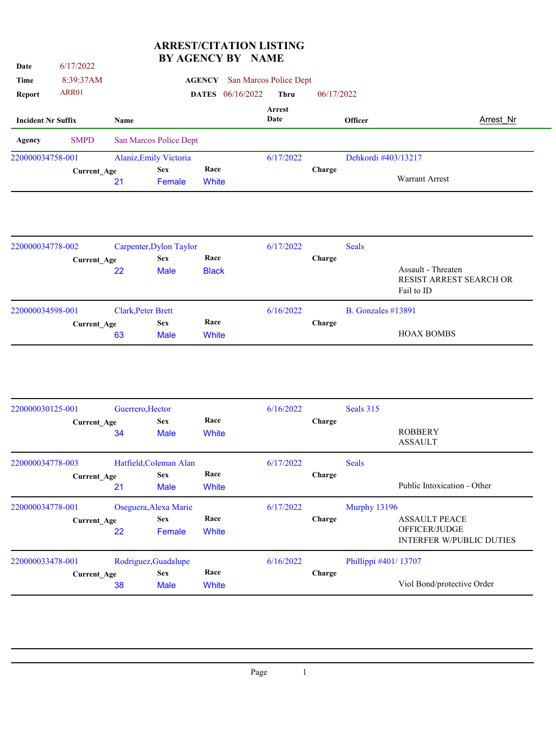## **ARREST/CITATION LISTING BY AGENCY BY NAME**

| Date                      | 6/17/2022          |      |                         | BY AGENCY BY NAME       |                        |            |                     |                       |           |
|---------------------------|--------------------|------|-------------------------|-------------------------|------------------------|------------|---------------------|-----------------------|-----------|
| Time                      | 8:39:37AM          |      |                         | <b>AGENCY</b>           | San Marcos Police Dept |            |                     |                       |           |
| <b>Report</b>             | ARR01              |      |                         | <b>DATES</b> 06/16/2022 | <b>Thru</b>            | 06/17/2022 |                     |                       |           |
| <b>Incident Nr Suffix</b> |                    | Name |                         |                         | Arrest<br>Date         |            | Officer             |                       | Arrest Nr |
| Agency                    | <b>SMPD</b>        |      | San Marcos Police Dept  |                         |                        |            |                     |                       |           |
| 220000034758-001          |                    |      | Alaniz, Emily Victoria  |                         | 6/17/2022              |            | Dehkordi #403/13217 |                       |           |
|                           | <b>Current_Age</b> | 21   | <b>Sex</b><br>Female    | Race<br>White           |                        | Charge     |                     | <b>Warrant Arrest</b> |           |
| 220000034778-002          |                    |      | Carpenter, Dylon Taylor |                         | 6/17/2022              |            | <b>Seals</b>        |                       |           |
|                           | <b>Current_Age</b> |      | <b>Sex</b>              | Race                    |                        | Charge     |                     |                       |           |
|                           |                    | 22   | <b>Male</b>             | <b>Black</b>            |                        |            |                     | Assault - Threaten    |           |

|                  | ___                | .                         |       |           | RESIST ARREST SEARCH OR<br>Fail to ID |
|------------------|--------------------|---------------------------|-------|-----------|---------------------------------------|
| 220000034598-001 |                    | <b>Clark, Peter Brett</b> |       | 6/16/2022 | B. Gonzales $\#13891$                 |
|                  | <b>Current Age</b> | <b>Sex</b>                | Race  |           | Charge                                |
|                  | 63                 | <b>Male</b>               | White |           | <b>HOAX BOMBS</b>                     |
|                  |                    |                           |       |           |                                       |

| 220000030125-001 |                          | Guerrero, Hector          |                      | 6/16/2022 |               | Seals 315            |                                                                          |
|------------------|--------------------------|---------------------------|----------------------|-----------|---------------|----------------------|--------------------------------------------------------------------------|
|                  | Current Age<br>34        | <b>Sex</b><br><b>Male</b> | Race<br>White        |           | Charge        |                      | <b>ROBBERY</b><br><b>ASSAULT</b>                                         |
| 220000034778-003 |                          | Hatfield, Coleman Alan    | Race                 | 6/17/2022 |               | <b>Seals</b>         |                                                                          |
|                  | <b>Current Age</b><br>21 | <b>Sex</b><br><b>Male</b> | White                |           | <b>Charge</b> |                      | Public Intoxication - Other                                              |
| 220000034778-001 |                          | Oseguera, Alexa Marie     |                      | 6/17/2022 |               | Murphy 13196         |                                                                          |
|                  | Current_Age<br>22        | <b>Sex</b><br>Female      | Race<br><b>White</b> |           | <b>Charge</b> |                      | <b>ASSAULT PEACE</b><br>OFFICER/JUDGE<br><b>INTERFER W/PUBLIC DUTIES</b> |
| 220000033478-001 |                          | Rodriguez, Guadalupe      |                      | 6/16/2022 |               | Phillippi #401/13707 |                                                                          |
|                  | <b>Current Age</b><br>38 | <b>Sex</b><br><b>Male</b> | Race<br>White        |           | <b>Charge</b> |                      | Viol Bond/protective Order                                               |